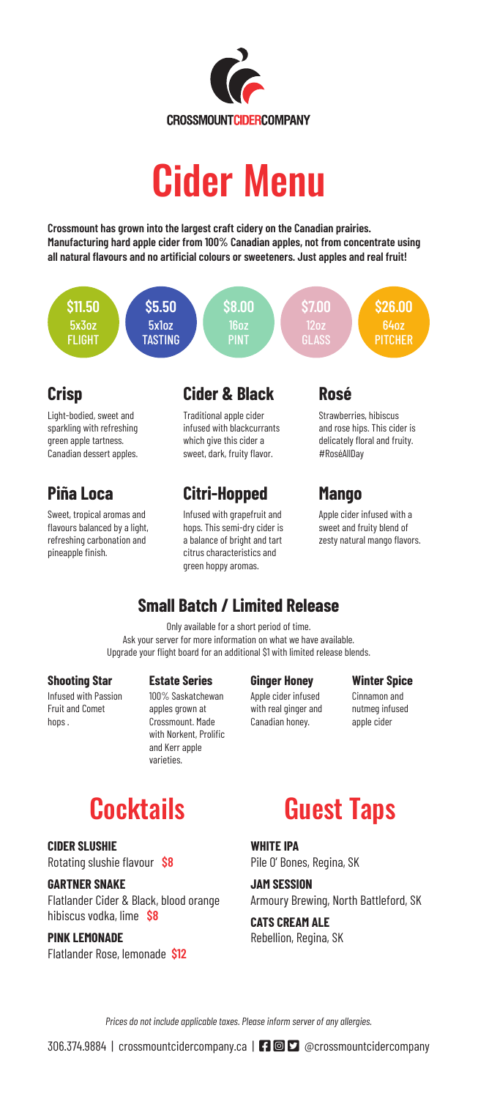

# Cider Menu

**Crossmount has grown into the largest craft cidery on the Canadian prairies. Manufacturing hard apple cider from 100% Canadian apples, not from concentrate using all natural flavours and no artificial colours or sweeteners. Just apples and real fruit!**



## **Crisp**

Light-bodied, sweet and sparkling with refreshing green apple tartness. Canadian dessert apples.

# **Piña Loca**

Sweet, tropical aromas and flavours balanced by a light, refreshing carbonation and pineapple finish.

## **Cider & Black**

Traditional apple cider infused with blackcurrants which give this cider a sweet, dark, fruity flavor.

# **Citri-Hopped**

Infused with grapefruit and hops. This semi-dry cider is a balance of bright and tart citrus characteristics and green hoppy aromas.

### **Rosé**

Strawberries, hibiscus and rose hips. This cider is delicately floral and fruity. #RoséAllDay

# **Mango**

Apple cider infused with a sweet and fruity blend of zesty natural mango flavors.

# **Small Batch / Limited Release**

Only available for a short period of time. Ask your server for more information on what we have available. Upgrade your flight board for an additional \$1 with limited release blends.

#### **Shooting Star**

Infused with Passion Fruit and Comet hops .

#### **Estate Series**

100% Saskatchewan apples grown at Crossmount. Made with Norkent, Prolific and Kerr apple varieties.

#### **Ginger Honey**

Apple cider infused with real ginger and Canadian honey.

#### **Winter Spice**

Cinnamon and nutmeg infused apple cider

# **Cocktails**

**CIDER SLUSHIE**

Rotating slushie flavour **\$8**

#### **GARTNER SNAKE**

Flatlander Cider & Black, blood orange hibiscus vodka, lime **\$8**

#### **PINK LEMONADE**

Flatlander Rose, lemonade **\$12**

# Guest Taps

**WHITE IPA** Pile O' Bones, Regina, SK

**JAM SESSION** Armoury Brewing, North Battleford, SK

**CATS CREAM ALE** Rebellion, Regina, SK

*Prices do not include applicable taxes. Please inform server of any allergies.*

306.374.9884 | crossmountcidercompany.ca | **FAC**BOOK-SOUNTCIDETCOMPANY